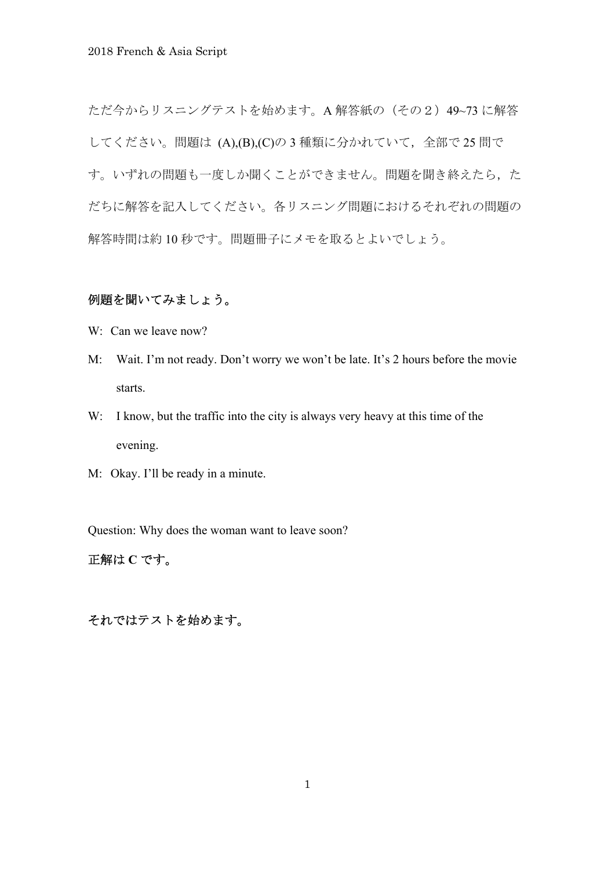ただ今からリスニングテストを始めます。A 解答紙の (その2) 49~73 に解答 してください。問題は (A),(B),(C)の3種類に分かれていて、全部で25 問で す。いずれの問題も一度しか聞くことができません。問題を聞き終えたら、た だちに解答を記入してください。各リスニング問題におけるそれぞれの問題の 解答時間は約 10 秒です。問題冊子にメモを取るとよいでしょう。

# 例題を聞いてみましょう。

- W: Can we leave now?
- M: Wait. I'm not ready. Don't worry we won't be late. It's 2 hours before the movie starts.
- W: I know, but the traffic into the city is always very heavy at this time of the evening.
- M: Okay. I'll be ready in a minute.

Question: Why does the woman want to leave soon?

# 正解は **C** です。

それではテストを始めます。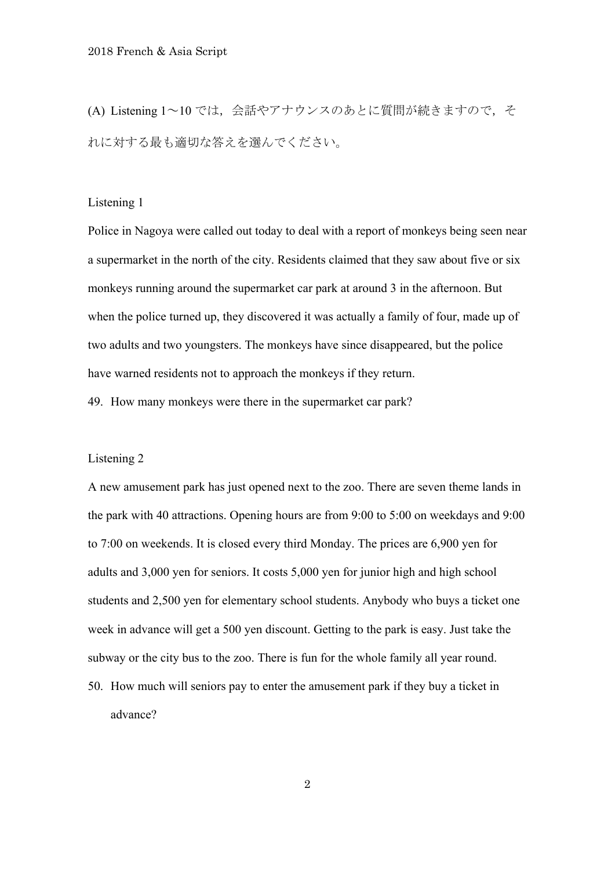(A) Listening 1~10 では、会話やアナウンスのあとに質問が続きますので、そ れに対する最も適切な答えを選んでください。

### Listening 1

Police in Nagoya were called out today to deal with a report of monkeys being seen near a supermarket in the north of the city. Residents claimed that they saw about five or six monkeys running around the supermarket car park at around 3 in the afternoon. But when the police turned up, they discovered it was actually a family of four, made up of two adults and two youngsters. The monkeys have since disappeared, but the police have warned residents not to approach the monkeys if they return.

49. How many monkeys were there in the supermarket car park?

### Listening 2

A new amusement park has just opened next to the zoo. There are seven theme lands in the park with 40 attractions. Opening hours are from 9:00 to 5:00 on weekdays and 9:00 to 7:00 on weekends. It is closed every third Monday. The prices are 6,900 yen for adults and 3,000 yen for seniors. It costs 5,000 yen for junior high and high school students and 2,500 yen for elementary school students. Anybody who buys a ticket one week in advance will get a 500 yen discount. Getting to the park is easy. Just take the subway or the city bus to the zoo. There is fun for the whole family all year round.

50. How much will seniors pay to enter the amusement park if they buy a ticket in advance?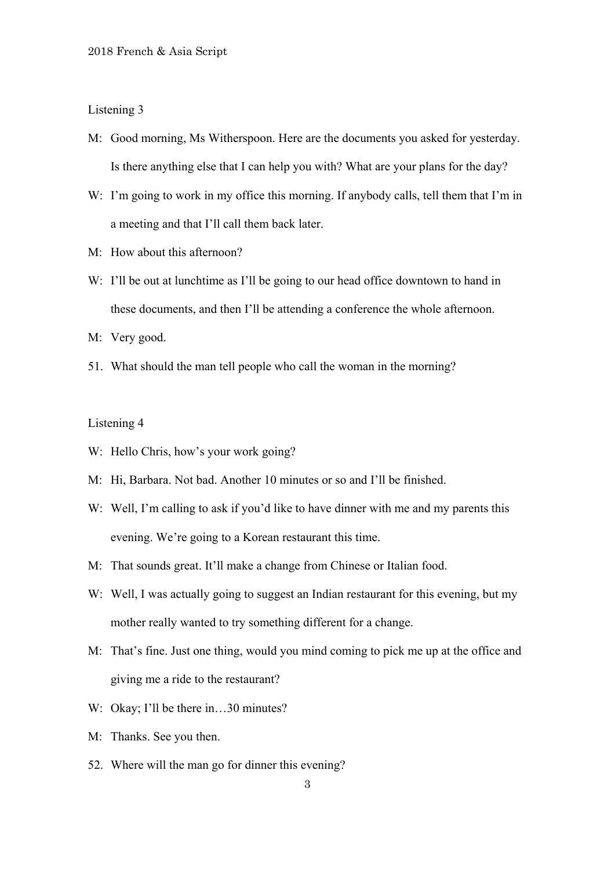- M: Good morning, Ms Witherspoon. Here are the documents you asked for yesterday. Is there anything else that I can help you with? What are your plans for the day?
- W: I'm going to work in my office this morning. If anybody calls, tell them that I'm in a meeting and that I'll call them back later.
- M: How about this afternoon?
- W: I'll be out at lunchtime as I'll be going to our head office downtown to hand in these documents, and then I'll be attending a conference the whole afternoon.
- M: Very good.
- 51. What should the man tell people who call the woman in the morning?

- W: Hello Chris, how's your work going?
- M: Hi, Barbara. Not bad. Another 10 minutes or so and I'll be finished.
- W: Well, I'm calling to ask if you'd like to have dinner with me and my parents this evening. We're going to a Korean restaurant this time.
- M: That sounds great. It'll make a change from Chinese or Italian food.
- W: Well, I was actually going to suggest an Indian restaurant for this evening, but my mother really wanted to try something different for a change.
- M: That's fine. Just one thing, would you mind coming to pick me up at the office and giving me a ride to the restaurant?
- W: Okay; I'll be there in...30 minutes?
- M: Thanks. See you then.
- 52. Where will the man go for dinner this evening?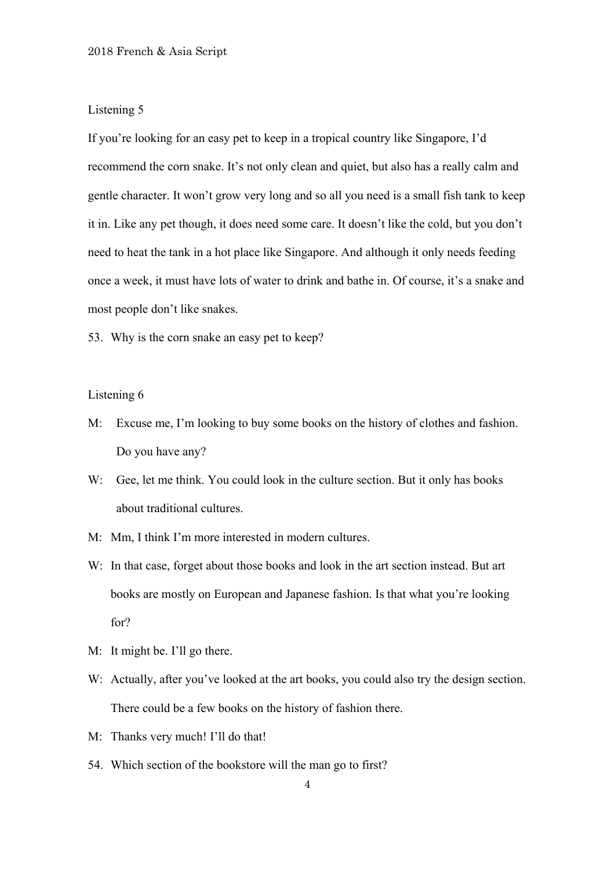If you're looking for an easy pet to keep in a tropical country like Singapore, I'd recommend the corn snake. It's not only clean and quiet, but also has a really calm and gentle character. It won't grow very long and so all you need is a small fish tank to keep it in. Like any pet though, it does need some care. It doesn't like the cold, but you don't need to heat the tank in a hot place like Singapore. And although it only needs feeding once a week, it must have lots of water to drink and bathe in. Of course, it's a snake and most people don't like snakes.

53. Why is the corn snake an easy pet to keep?

- M: Excuse me, I'm looking to buy some books on the history of clothes and fashion. Do you have any?
- W: Gee, let me think. You could look in the culture section. But it only has books about traditional cultures.
- M: Mm, I think I'm more interested in modern cultures.
- W: In that case, forget about those books and look in the art section instead. But art books are mostly on European and Japanese fashion. Is that what you're looking for?
- M: It might be. I'll go there.
- W: Actually, after you've looked at the art books, you could also try the design section. There could be a few books on the history of fashion there.
- M: Thanks very much! I'll do that!
- 54. Which section of the bookstore will the man go to first?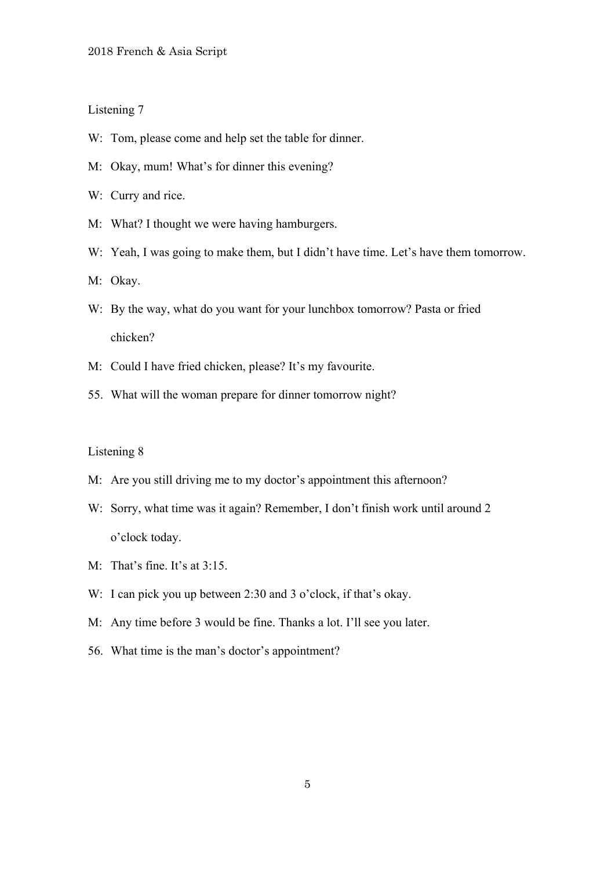- W: Tom, please come and help set the table for dinner.
- M: Okay, mum! What's for dinner this evening?
- W: Curry and rice.
- M: What? I thought we were having hamburgers.
- W: Yeah, I was going to make them, but I didn't have time. Let's have them tomorrow.
- M: Okay.
- W: By the way, what do you want for your lunchbox tomorrow? Pasta or fried chicken?
- M: Could I have fried chicken, please? It's my favourite.
- 55. What will the woman prepare for dinner tomorrow night?

- M: Are you still driving me to my doctor's appointment this afternoon?
- W: Sorry, what time was it again? Remember, I don't finish work until around 2 o'clock today.
- M: That's fine. It's at 3:15.
- W: I can pick you up between 2:30 and 3 o'clock, if that's okay.
- M: Any time before 3 would be fine. Thanks a lot. I'll see you later.
- 56. What time is the man's doctor's appointment?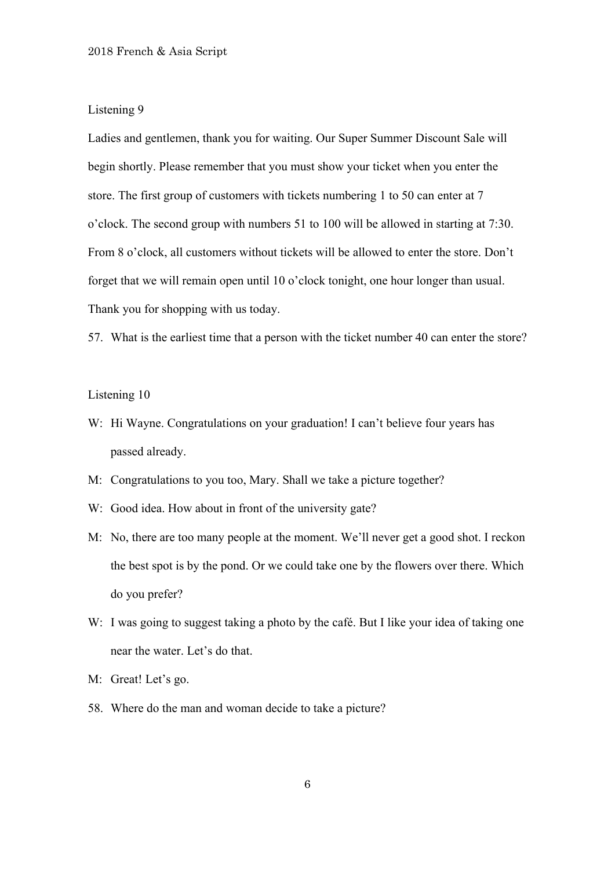Ladies and gentlemen, thank you for waiting. Our Super Summer Discount Sale will begin shortly. Please remember that you must show your ticket when you enter the store. The first group of customers with tickets numbering 1 to 50 can enter at 7 o'clock. The second group with numbers 51 to 100 will be allowed in starting at 7:30. From 8 o'clock, all customers without tickets will be allowed to enter the store. Don't forget that we will remain open until 10 o'clock tonight, one hour longer than usual. Thank you for shopping with us today.

57. What is the earliest time that a person with the ticket number 40 can enter the store?

- W: Hi Wayne. Congratulations on your graduation! I can't believe four years has passed already.
- M: Congratulations to you too, Mary. Shall we take a picture together?
- W: Good idea. How about in front of the university gate?
- M: No, there are too many people at the moment. We'll never get a good shot. I reckon the best spot is by the pond. Or we could take one by the flowers over there. Which do you prefer?
- W: I was going to suggest taking a photo by the café. But I like your idea of taking one near the water. Let's do that.
- M: Great! Let's go.
- 58. Where do the man and woman decide to take a picture?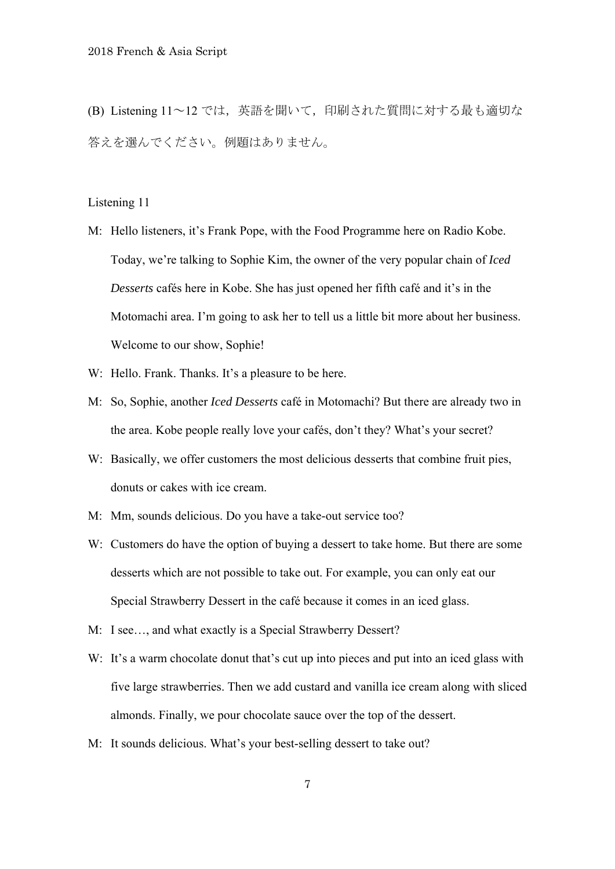(B) Listening 11~12 では,英語を聞いて,印刷された質問に対する最も適切な 答えを選んでください。例題はありません。

- M: Hello listeners, it's Frank Pope, with the Food Programme here on Radio Kobe. Today, we're talking to Sophie Kim, the owner of the very popular chain of *Iced Desserts* cafés here in Kobe. She has just opened her fifth café and it's in the Motomachi area. I'm going to ask her to tell us a little bit more about her business. Welcome to our show, Sophie!
- W: Hello. Frank. Thanks. It's a pleasure to be here.
- M: So, Sophie, another *Iced Desserts* café in Motomachi? But there are already two in the area. Kobe people really love your cafés, don't they? What's your secret?
- W: Basically, we offer customers the most delicious desserts that combine fruit pies, donuts or cakes with ice cream.
- M: Mm, sounds delicious. Do you have a take-out service too?
- W: Customers do have the option of buying a dessert to take home. But there are some desserts which are not possible to take out. For example, you can only eat our Special Strawberry Dessert in the café because it comes in an iced glass.
- M: I see…, and what exactly is a Special Strawberry Dessert?
- W: It's a warm chocolate donut that's cut up into pieces and put into an iced glass with five large strawberries. Then we add custard and vanilla ice cream along with sliced almonds. Finally, we pour chocolate sauce over the top of the dessert.
- M: It sounds delicious. What's your best-selling dessert to take out?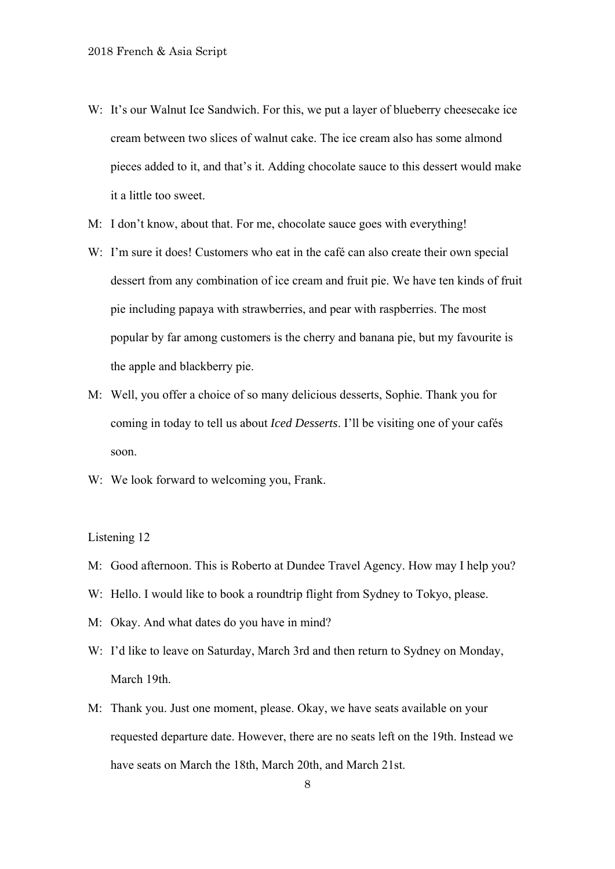- W: It's our Walnut Ice Sandwich. For this, we put a layer of blueberry cheesecake ice cream between two slices of walnut cake. The ice cream also has some almond pieces added to it, and that's it. Adding chocolate sauce to this dessert would make it a little too sweet.
- M: I don't know, about that. For me, chocolate sauce goes with everything!
- W: I'm sure it does! Customers who eat in the café can also create their own special dessert from any combination of ice cream and fruit pie. We have ten kinds of fruit pie including papaya with strawberries, and pear with raspberries. The most popular by far among customers is the cherry and banana pie, but my favourite is the apple and blackberry pie.
- M: Well, you offer a choice of so many delicious desserts, Sophie. Thank you for coming in today to tell us about *Iced Desserts*. I'll be visiting one of your cafés soon.
- W: We look forward to welcoming you, Frank.

- M: Good afternoon. This is Roberto at Dundee Travel Agency. How may I help you?
- W: Hello. I would like to book a roundtrip flight from Sydney to Tokyo, please.
- M: Okay. And what dates do you have in mind?
- W: I'd like to leave on Saturday, March 3rd and then return to Sydney on Monday, March 19th.
- M: Thank you. Just one moment, please. Okay, we have seats available on your requested departure date. However, there are no seats left on the 19th. Instead we have seats on March the 18th, March 20th, and March 21st.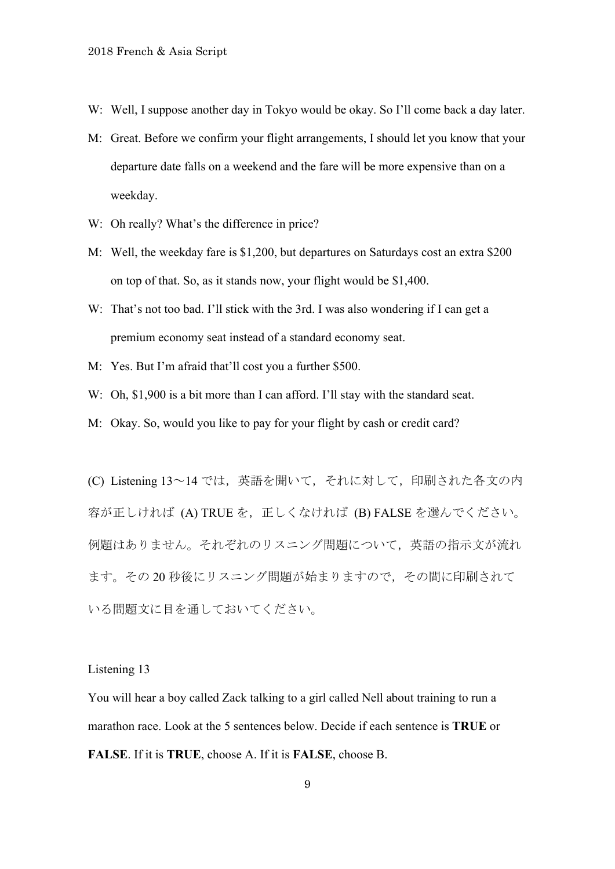- W: Well, I suppose another day in Tokyo would be okay. So I'll come back a day later.
- M: Great. Before we confirm your flight arrangements, I should let you know that your departure date falls on a weekend and the fare will be more expensive than on a weekday.
- W: Oh really? What's the difference in price?
- M: Well, the weekday fare is \$1,200, but departures on Saturdays cost an extra \$200 on top of that. So, as it stands now, your flight would be \$1,400.
- W: That's not too bad. I'll stick with the 3rd. I was also wondering if I can get a premium economy seat instead of a standard economy seat.
- M: Yes. But I'm afraid that'll cost you a further \$500.
- W: Oh, \$1,900 is a bit more than I can afford. I'll stay with the standard seat.
- M: Okay. So, would you like to pay for your flight by cash or credit card?

(C) Listening 13~14 では,英語を聞いて,それに対して,印刷された各文の内 容が正しければ (A) TRUE を、正しくなければ (B) FALSE を選んでください。 例題はありません。それぞれのリスニング問題について,英語の指示文が流れ ます。その 20 秒後にリスニング問題が始まりますので,その間に印刷されて いる問題文に目を通しておいてください。

#### Listening 13

You will hear a boy called Zack talking to a girl called Nell about training to run a marathon race. Look at the 5 sentences below. Decide if each sentence is **TRUE** or **FALSE**. If it is **TRUE**, choose A. If it is **FALSE**, choose B.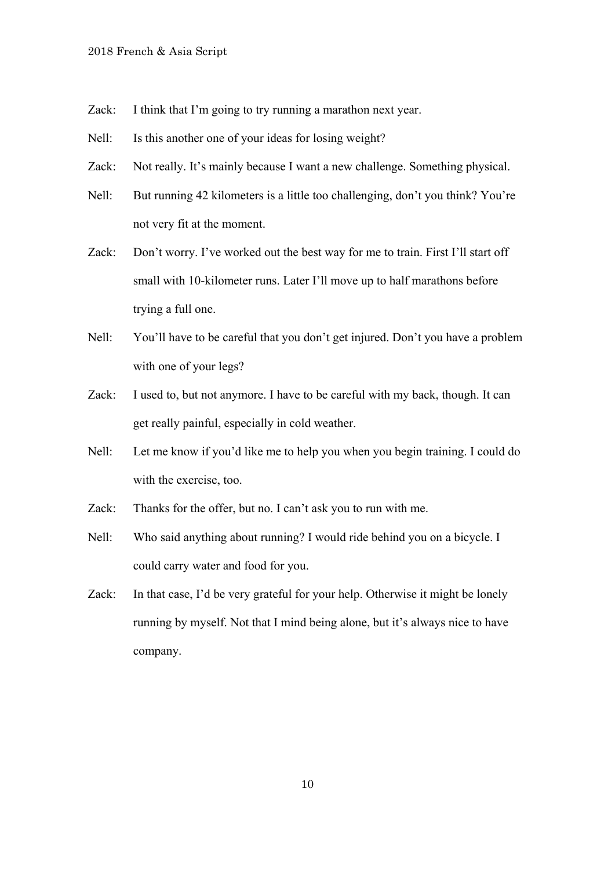- Zack: I think that I'm going to try running a marathon next year.
- Nell: Is this another one of your ideas for losing weight?
- Zack: Not really. It's mainly because I want a new challenge. Something physical.
- Nell: But running 42 kilometers is a little too challenging, don't you think? You're not very fit at the moment.
- Zack: Don't worry. I've worked out the best way for me to train. First I'll start off small with 10-kilometer runs. Later I'll move up to half marathons before trying a full one.
- Nell: You'll have to be careful that you don't get injured. Don't you have a problem with one of your legs?
- Zack: I used to, but not anymore. I have to be careful with my back, though. It can get really painful, especially in cold weather.
- Nell: Let me know if you'd like me to help you when you begin training. I could do with the exercise, too.
- Zack: Thanks for the offer, but no. I can't ask you to run with me.
- Nell: Who said anything about running? I would ride behind you on a bicycle. I could carry water and food for you.
- Zack: In that case, I'd be very grateful for your help. Otherwise it might be lonely running by myself. Not that I mind being alone, but it's always nice to have company.